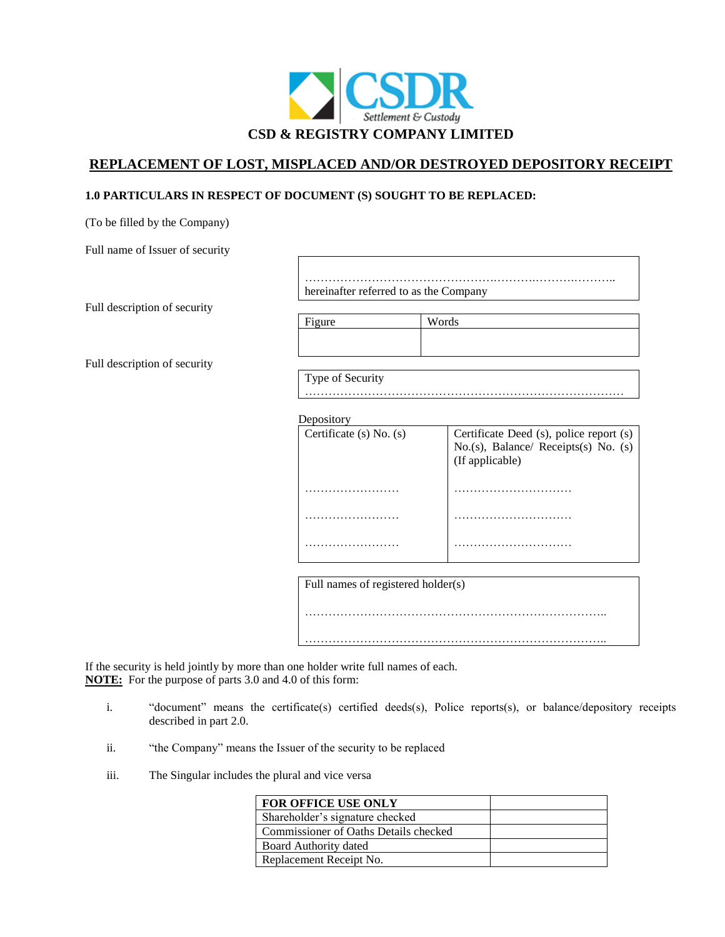

# **REPLACEMENT OF LOST, MISPLACED AND/OR DESTROYED DEPOSITORY RECEIPT**

## **1.0 PARTICULARS IN RESPECT OF DOCUMENT (S) SOUGHT TO BE REPLACED:**

(To be filled by the Company)

Full name of Issuer of security

Full description of security

………………………………………….……….……….……….. hereinafter referred to as the Company

………………………………………………………………………

Full description of security

Figure Words

Type of Security

**Depository** 

| <b>2 しいしいさいしょ</b>           |                                                                                                    |
|-----------------------------|----------------------------------------------------------------------------------------------------|
| Certificate $(s)$ No. $(s)$ | Certificate Deed (s), police report (s)<br>No.(s), Balance/ Receipts(s) No. (s)<br>(If applicable) |
|                             |                                                                                                    |
|                             |                                                                                                    |
|                             |                                                                                                    |

Full names of registered holder(s) ………………………………………………………………….. …………………………………………………………………..

If the security is held jointly by more than one holder write full names of each. **NOTE:** For the purpose of parts 3.0 and 4.0 of this form:

- i. "document" means the certificate(s) certified deeds(s), Police reports(s), or balance/depository receipts described in part 2.0.
- ii. "the Company" means the Issuer of the security to be replaced
- iii. The Singular includes the plural and vice versa

| FOR OFFICE USE ONLY                   |  |
|---------------------------------------|--|
| Shareholder's signature checked       |  |
| Commissioner of Oaths Details checked |  |
| Board Authority dated                 |  |
| Replacement Receipt No.               |  |
|                                       |  |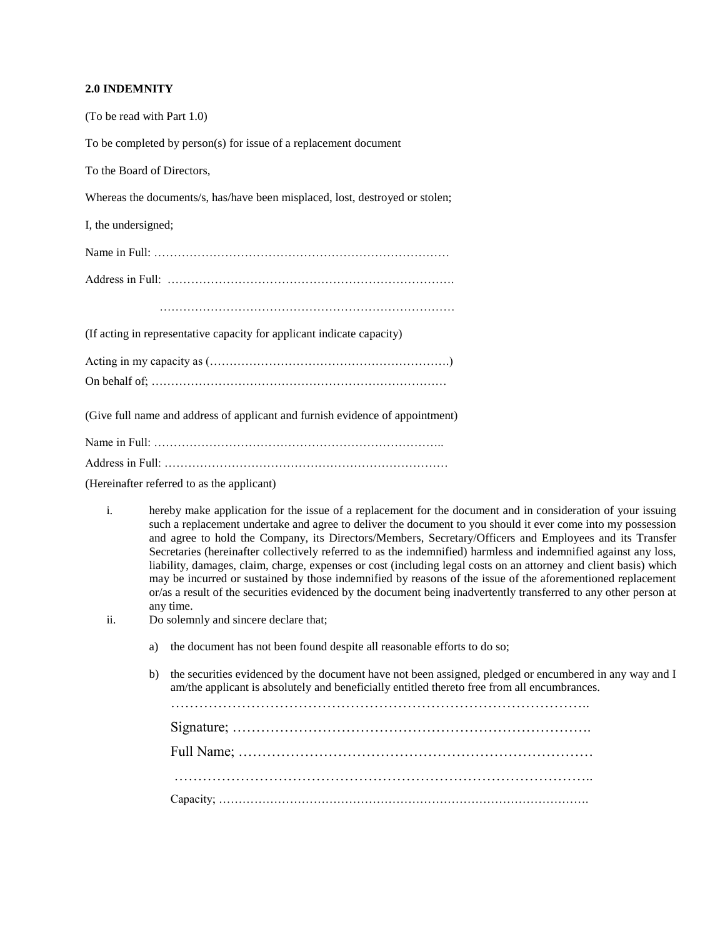#### **2.0 INDEMNITY**

| (To be read with Part 1.0)                                                    |
|-------------------------------------------------------------------------------|
| To be completed by person(s) for issue of a replacement document              |
| To the Board of Directors,                                                    |
| Whereas the documents/s, has/have been misplaced, lost, destroyed or stolen;  |
| I, the undersigned;                                                           |
|                                                                               |
|                                                                               |
|                                                                               |
| (If acting in representative capacity for applicant indicate capacity)        |
|                                                                               |
|                                                                               |
| (Give full name and address of applicant and furnish evidence of appointment) |
|                                                                               |
|                                                                               |

(Hereinafter referred to as the applicant)

- i. hereby make application for the issue of a replacement for the document and in consideration of your issuing such a replacement undertake and agree to deliver the document to you should it ever come into my possession and agree to hold the Company, its Directors/Members, Secretary/Officers and Employees and its Transfer Secretaries (hereinafter collectively referred to as the indemnified) harmless and indemnified against any loss, liability, damages, claim, charge, expenses or cost (including legal costs on an attorney and client basis) which may be incurred or sustained by those indemnified by reasons of the issue of the aforementioned replacement or/as a result of the securities evidenced by the document being inadvertently transferred to any other person at any time.
- ii. Do solemnly and sincere declare that;
	- a) the document has not been found despite all reasonable efforts to do so;
	- b) the securities evidenced by the document have not been assigned, pledged or encumbered in any way and I am/the applicant is absolutely and beneficially entitled thereto free from all encumbrances.